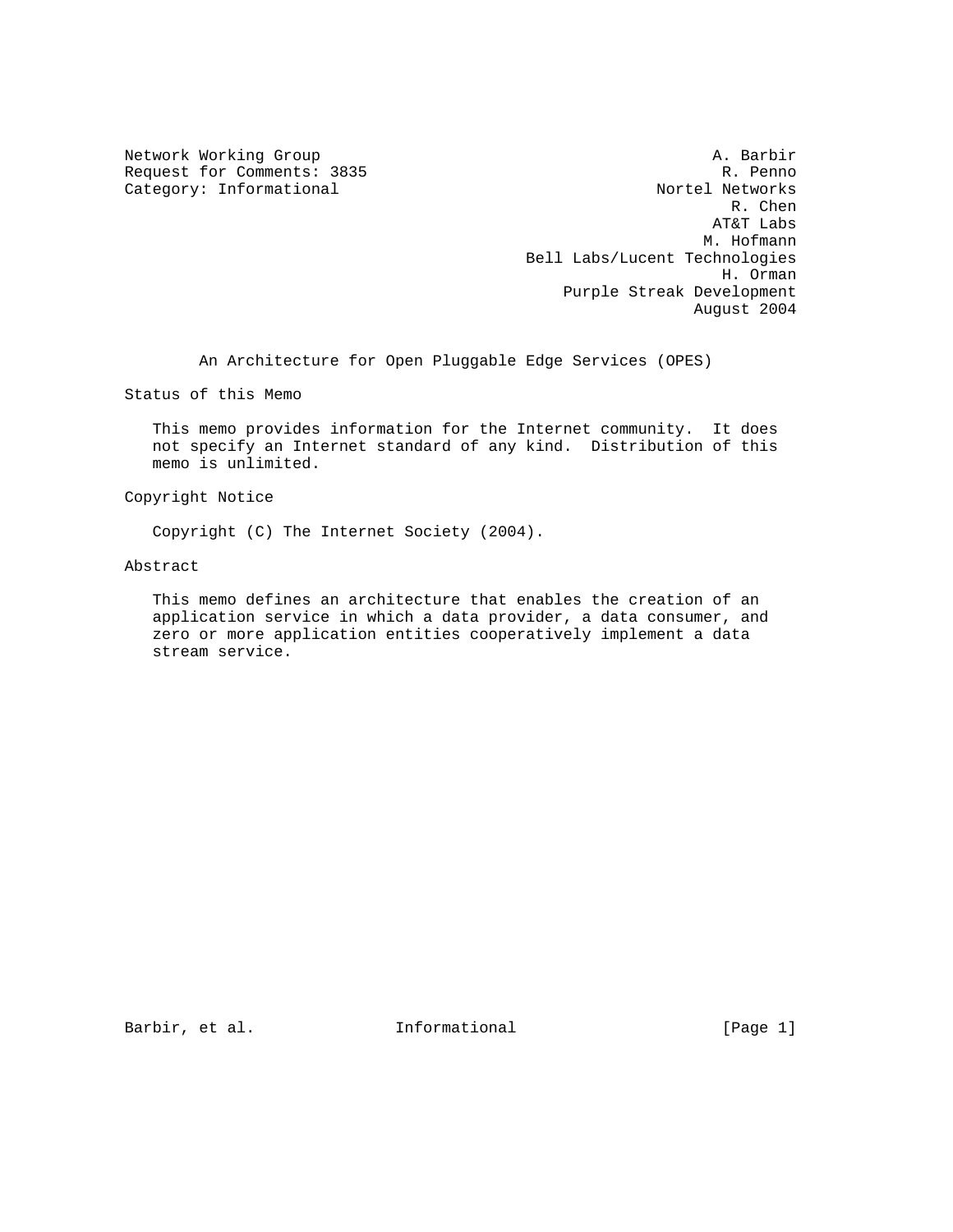Network Working Group and the set of the set of the set of the A. Barbir Request for Comments: 3835 R. Penno<br>
Category: Informational Research Research Research Research Research Research Research Research Research Research Category: Informational Nortel Networks<br>R. Chen R. Chen AT&T Labs M. Hofmann Bell Labs/Lucent Technologies H. Orman Purple Streak Development August 2004

An Architecture for Open Pluggable Edge Services (OPES)

Status of this Memo

 This memo provides information for the Internet community. It does not specify an Internet standard of any kind. Distribution of this memo is unlimited.

Copyright Notice

Copyright (C) The Internet Society (2004).

Abstract

 This memo defines an architecture that enables the creation of an application service in which a data provider, a data consumer, and zero or more application entities cooperatively implement a data stream service.

Barbir, et al. **Informational** [Page 1]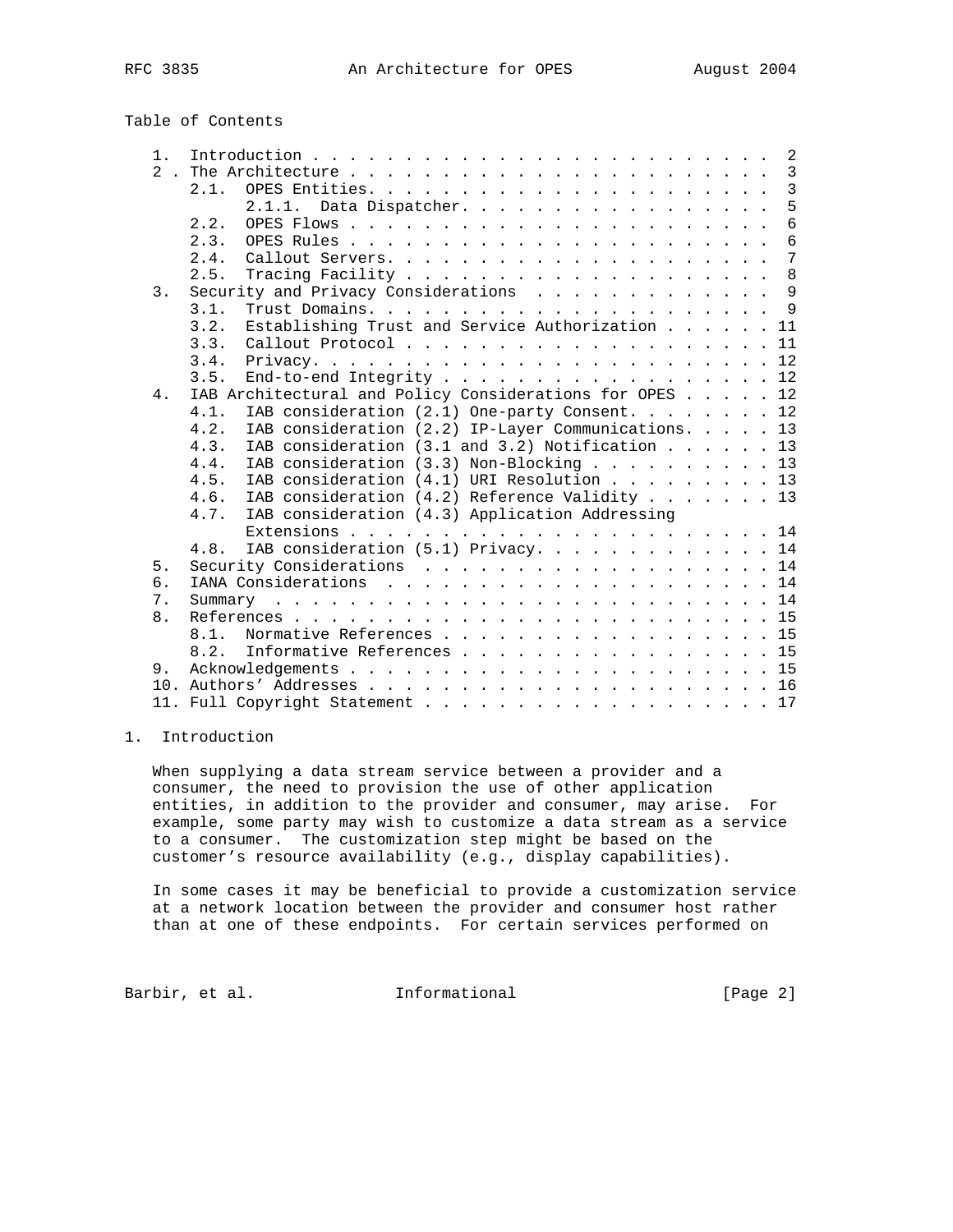| $1$ .            |                                                             |
|------------------|-------------------------------------------------------------|
| 2 <sub>1</sub>   |                                                             |
|                  | 2.1.                                                        |
|                  | 5<br>2.1.1. Data Dispatcher.                                |
|                  | 6<br>2.2.                                                   |
|                  | 6<br>2.3.                                                   |
|                  | $7\phantom{.0}$<br>2.4.                                     |
|                  | $\,8\,$<br>2.5.                                             |
| $\overline{3}$ . | Security and Privacy Considerations 9                       |
|                  | 3.1.                                                        |
|                  | Establishing Trust and Service Authorization 11<br>3.2.     |
|                  | Callout Protocol 11<br>3.3.                                 |
|                  | 3.4.                                                        |
|                  | End-to-end Integrity 12<br>3.5.                             |
| 4.               | IAB Architectural and Policy Considerations for OPES 12     |
|                  | IAB consideration (2.1) One-party Consent. 12<br>4.1.       |
|                  | IAB consideration (2.2) IP-Layer Communications. 13<br>4.2. |
|                  | IAB consideration (3.1 and 3.2) Notification 13<br>4.3.     |
|                  | IAB consideration (3.3) Non-Blocking 13<br>4.4.             |
|                  | IAB consideration (4.1) URI Resolution 13<br>4.5.           |
|                  | IAB consideration (4.2) Reference Validity 13<br>4.6.       |
|                  | IAB consideration (4.3) Application Addressing<br>4.7.      |
|                  |                                                             |
|                  | IAB consideration (5.1) Privacy. 14<br>4.8.                 |
| 5.               | Security Considerations 14                                  |
| 6.               |                                                             |
| 7.               |                                                             |
| 8.               |                                                             |
|                  | Normative References 15<br>8.1.                             |
|                  | Informative References 15<br>8.2.                           |
| 9.               |                                                             |
|                  |                                                             |
|                  | 11. Full Copyright Statement 17                             |
|                  |                                                             |

# 1. Introduction

 When supplying a data stream service between a provider and a consumer, the need to provision the use of other application entities, in addition to the provider and consumer, may arise. For example, some party may wish to customize a data stream as a service to a consumer. The customization step might be based on the customer's resource availability (e.g., display capabilities).

 In some cases it may be beneficial to provide a customization service at a network location between the provider and consumer host rather than at one of these endpoints. For certain services performed on

Barbir, et al. 1nformational [Page 2]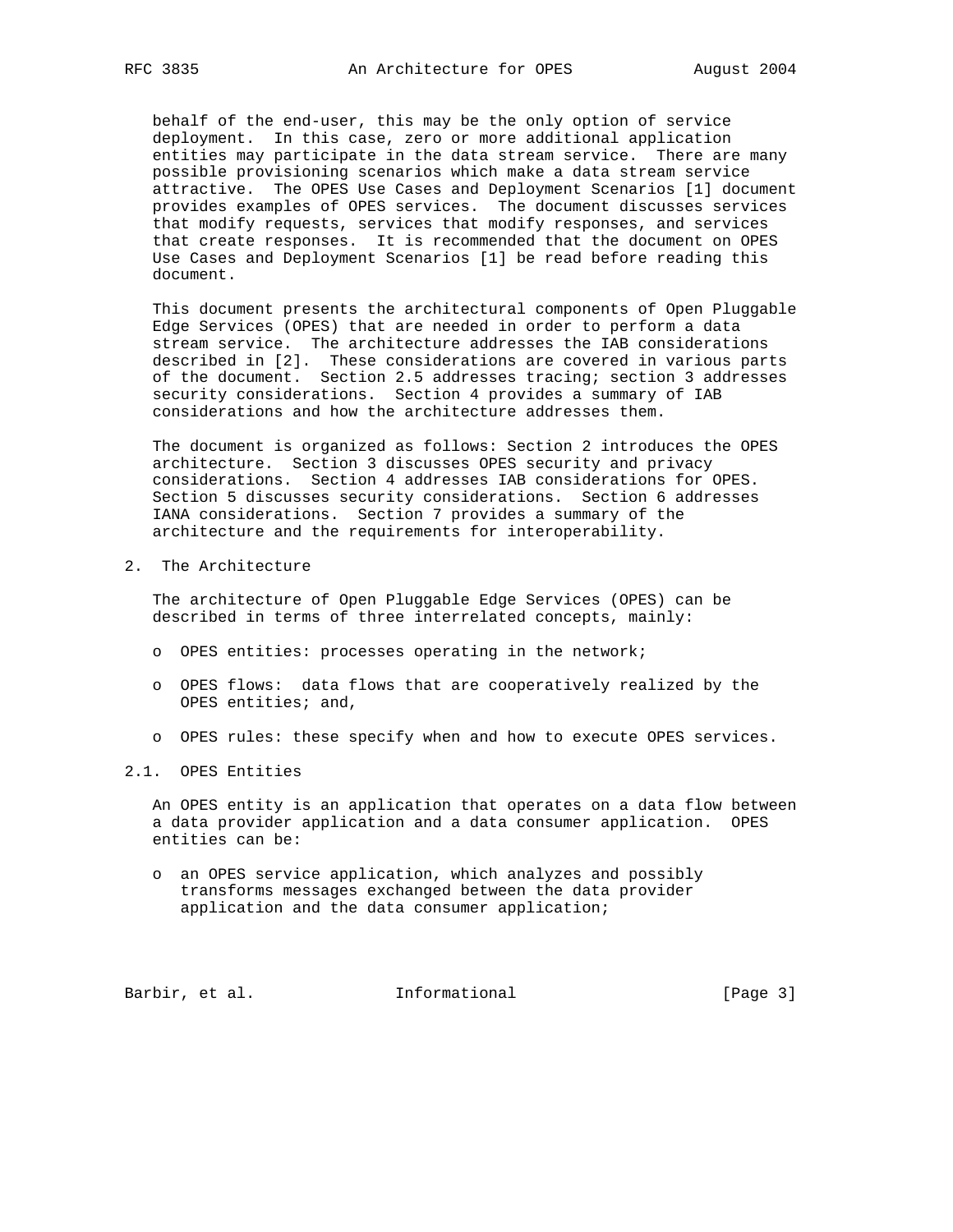behalf of the end-user, this may be the only option of service deployment. In this case, zero or more additional application entities may participate in the data stream service. There are many possible provisioning scenarios which make a data stream service attractive. The OPES Use Cases and Deployment Scenarios [1] document provides examples of OPES services. The document discusses services that modify requests, services that modify responses, and services that create responses. It is recommended that the document on OPES Use Cases and Deployment Scenarios [1] be read before reading this document.

 This document presents the architectural components of Open Pluggable Edge Services (OPES) that are needed in order to perform a data stream service. The architecture addresses the IAB considerations described in [2]. These considerations are covered in various parts of the document. Section 2.5 addresses tracing; section 3 addresses security considerations. Section 4 provides a summary of IAB considerations and how the architecture addresses them.

 The document is organized as follows: Section 2 introduces the OPES architecture. Section 3 discusses OPES security and privacy considerations. Section 4 addresses IAB considerations for OPES. Section 5 discusses security considerations. Section 6 addresses IANA considerations. Section 7 provides a summary of the architecture and the requirements for interoperability.

2. The Architecture

 The architecture of Open Pluggable Edge Services (OPES) can be described in terms of three interrelated concepts, mainly:

- o OPES entities: processes operating in the network;
- o OPES flows: data flows that are cooperatively realized by the OPES entities; and,
- o OPES rules: these specify when and how to execute OPES services.
- 2.1. OPES Entities

 An OPES entity is an application that operates on a data flow between a data provider application and a data consumer application. OPES entities can be:

 o an OPES service application, which analyzes and possibly transforms messages exchanged between the data provider application and the data consumer application;

Barbir, et al. 1nformational [Page 3]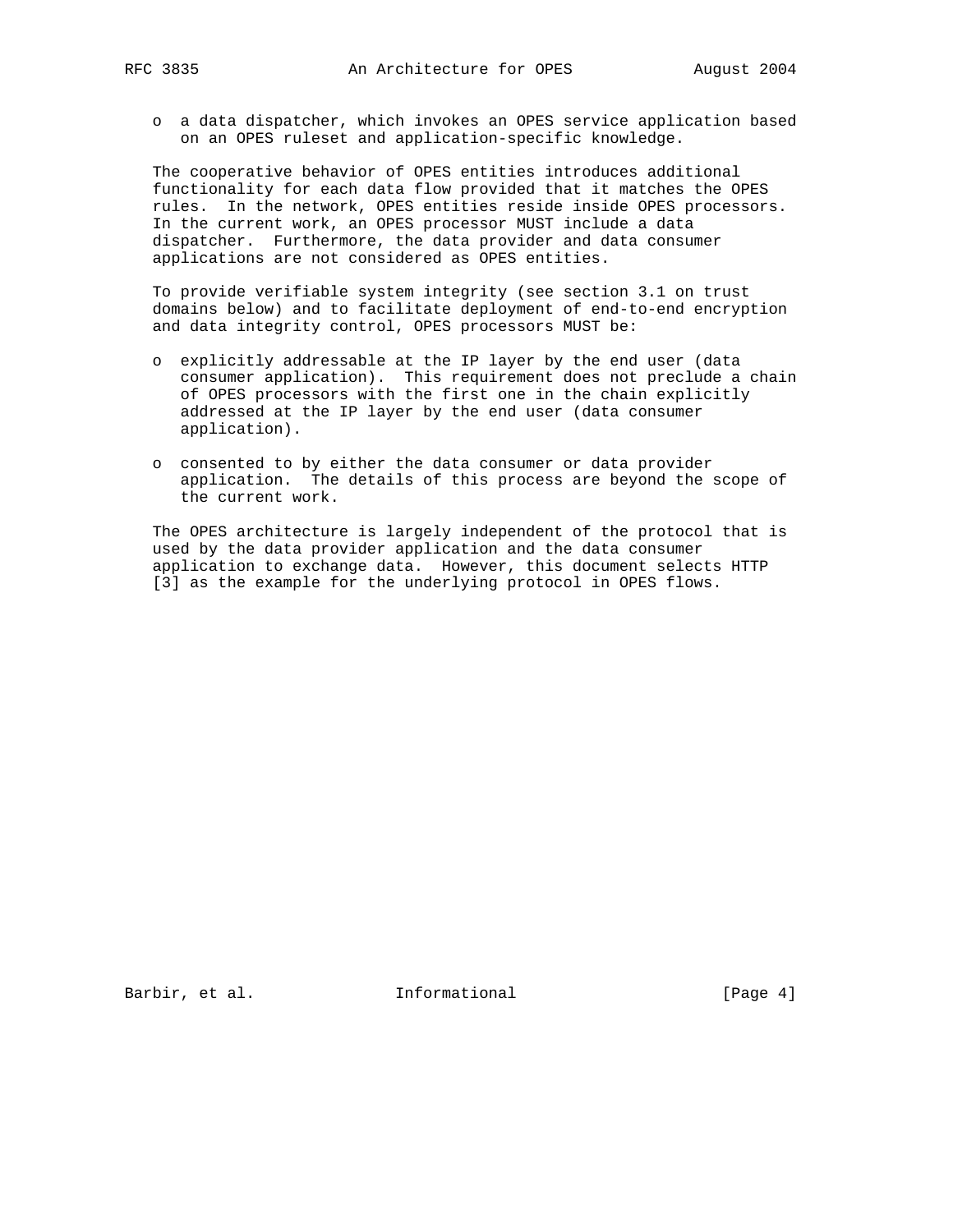o a data dispatcher, which invokes an OPES service application based on an OPES ruleset and application-specific knowledge.

 The cooperative behavior of OPES entities introduces additional functionality for each data flow provided that it matches the OPES rules. In the network, OPES entities reside inside OPES processors. In the current work, an OPES processor MUST include a data dispatcher. Furthermore, the data provider and data consumer applications are not considered as OPES entities.

 To provide verifiable system integrity (see section 3.1 on trust domains below) and to facilitate deployment of end-to-end encryption and data integrity control, OPES processors MUST be:

- o explicitly addressable at the IP layer by the end user (data consumer application). This requirement does not preclude a chain of OPES processors with the first one in the chain explicitly addressed at the IP layer by the end user (data consumer application).
- o consented to by either the data consumer or data provider application. The details of this process are beyond the scope of the current work.

 The OPES architecture is largely independent of the protocol that is used by the data provider application and the data consumer application to exchange data. However, this document selects HTTP [3] as the example for the underlying protocol in OPES flows.

Barbir, et al. 1nformational [Page 4]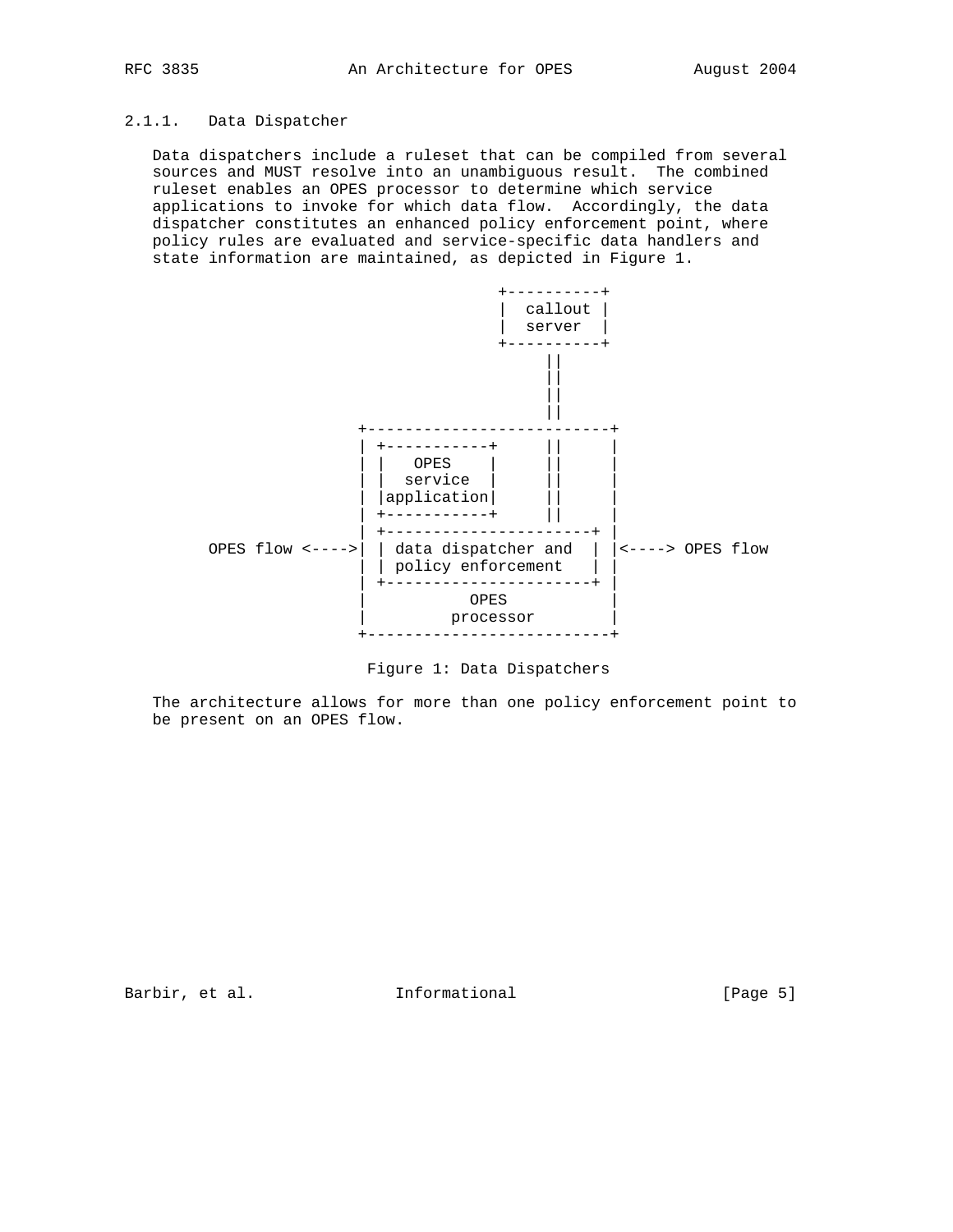# 2.1.1. Data Dispatcher

 Data dispatchers include a ruleset that can be compiled from several sources and MUST resolve into an unambiguous result. The combined ruleset enables an OPES processor to determine which service applications to invoke for which data flow. Accordingly, the data dispatcher constitutes an enhanced policy enforcement point, where policy rules are evaluated and service-specific data handlers and state information are maintained, as depicted in Figure 1.



Figure 1: Data Dispatchers

 The architecture allows for more than one policy enforcement point to be present on an OPES flow.

Barbir, et al. 1nformational [Page 5]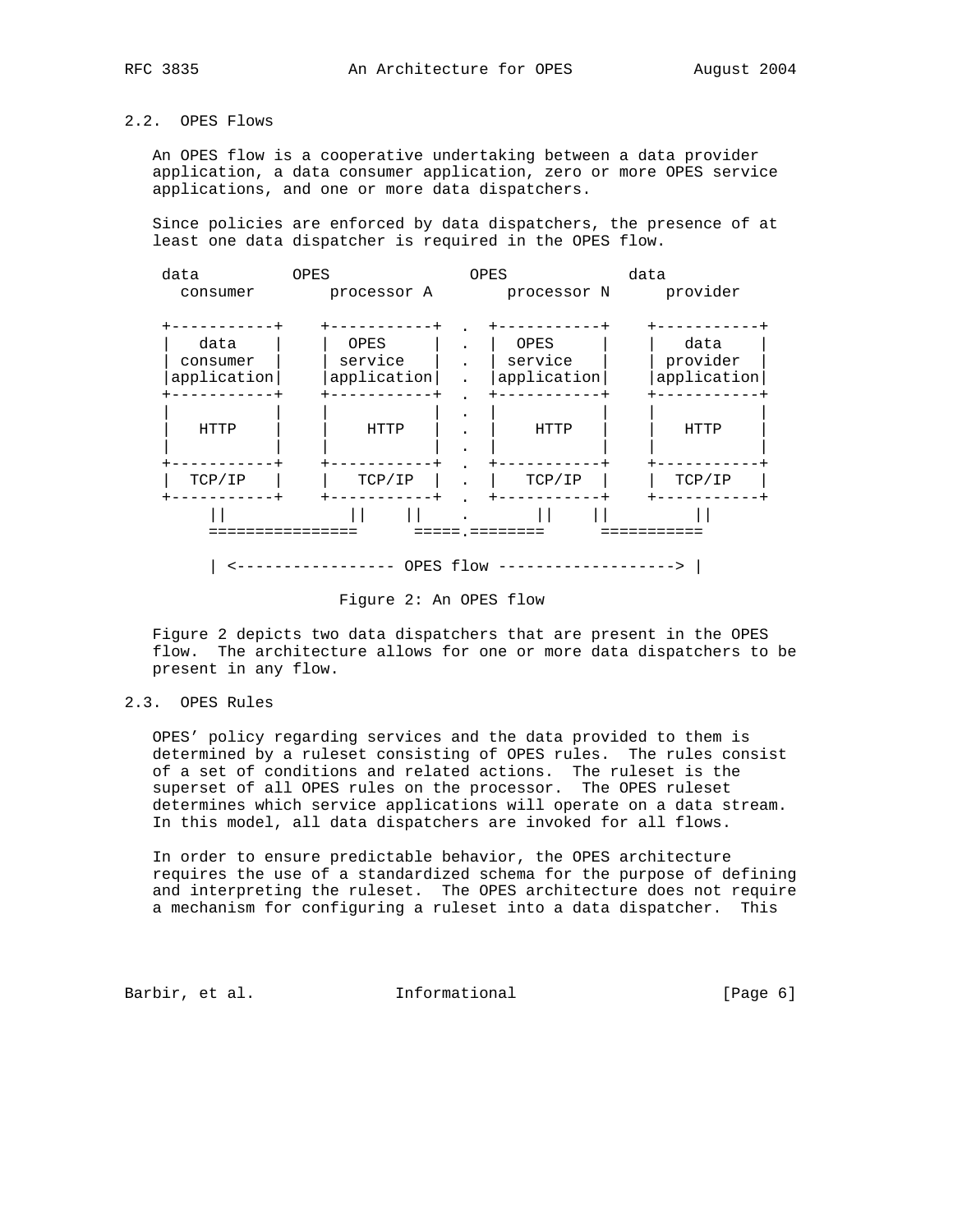# 2.2. OPES Flows

 An OPES flow is a cooperative undertaking between a data provider application, a data consumer application, zero or more OPES service applications, and one or more data dispatchers.

 Since policies are enforced by data dispatchers, the presence of at least one data dispatcher is required in the OPES flow.



Figure 2: An OPES flow

 Figure 2 depicts two data dispatchers that are present in the OPES flow. The architecture allows for one or more data dispatchers to be present in any flow.

2.3. OPES Rules

 OPES' policy regarding services and the data provided to them is determined by a ruleset consisting of OPES rules. The rules consist of a set of conditions and related actions. The ruleset is the superset of all OPES rules on the processor. The OPES ruleset determines which service applications will operate on a data stream. In this model, all data dispatchers are invoked for all flows.

 In order to ensure predictable behavior, the OPES architecture requires the use of a standardized schema for the purpose of defining and interpreting the ruleset. The OPES architecture does not require a mechanism for configuring a ruleset into a data dispatcher. This

Barbir, et al. 1nformational (Page 6)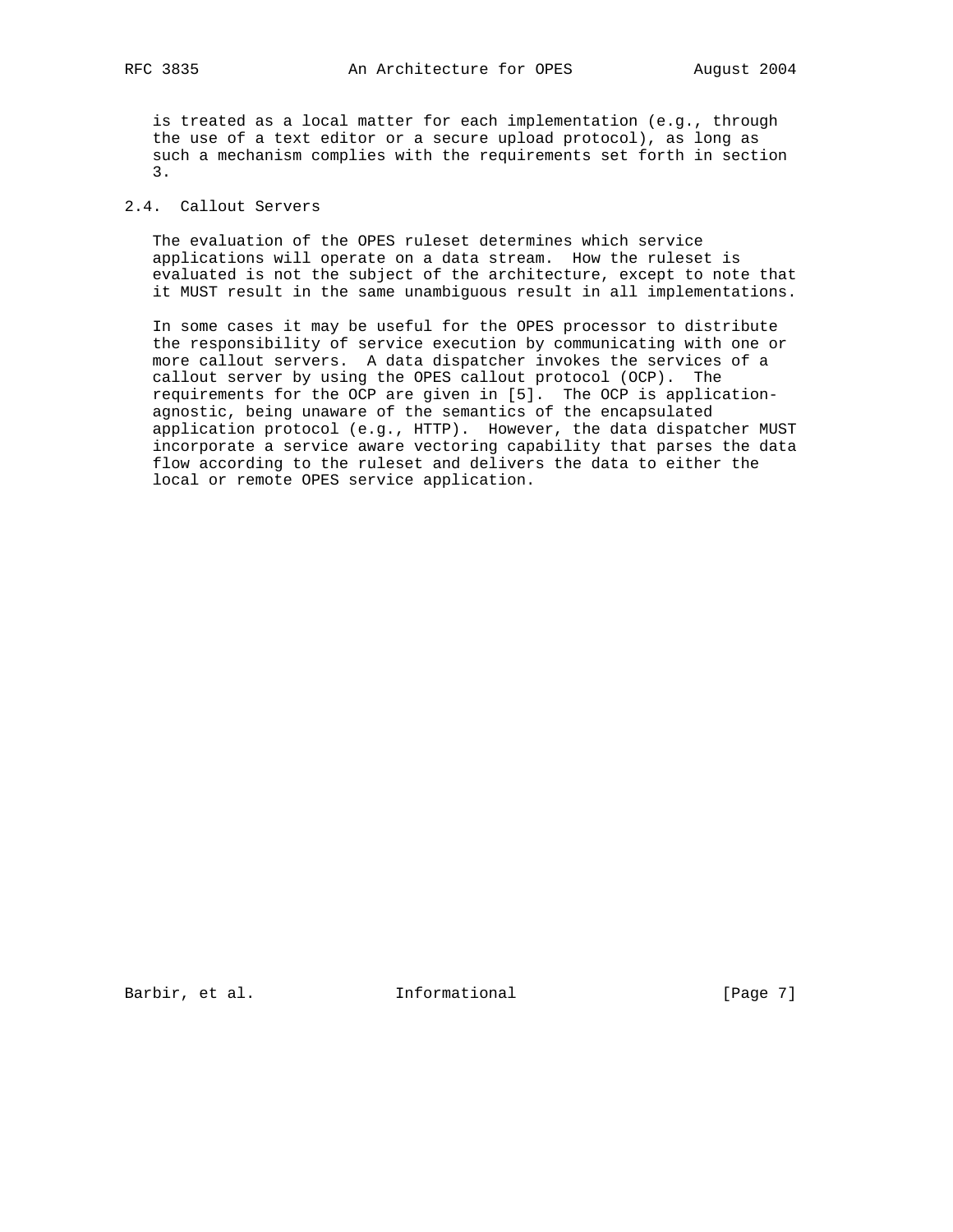is treated as a local matter for each implementation (e.g., through the use of a text editor or a secure upload protocol), as long as such a mechanism complies with the requirements set forth in section 3.

# 2.4. Callout Servers

 The evaluation of the OPES ruleset determines which service applications will operate on a data stream. How the ruleset is evaluated is not the subject of the architecture, except to note that it MUST result in the same unambiguous result in all implementations.

 In some cases it may be useful for the OPES processor to distribute the responsibility of service execution by communicating with one or more callout servers. A data dispatcher invokes the services of a callout server by using the OPES callout protocol (OCP). The requirements for the OCP are given in [5]. The OCP is application agnostic, being unaware of the semantics of the encapsulated application protocol (e.g., HTTP). However, the data dispatcher MUST incorporate a service aware vectoring capability that parses the data flow according to the ruleset and delivers the data to either the local or remote OPES service application.

Barbir, et al. 1nformational 1999 [Page 7]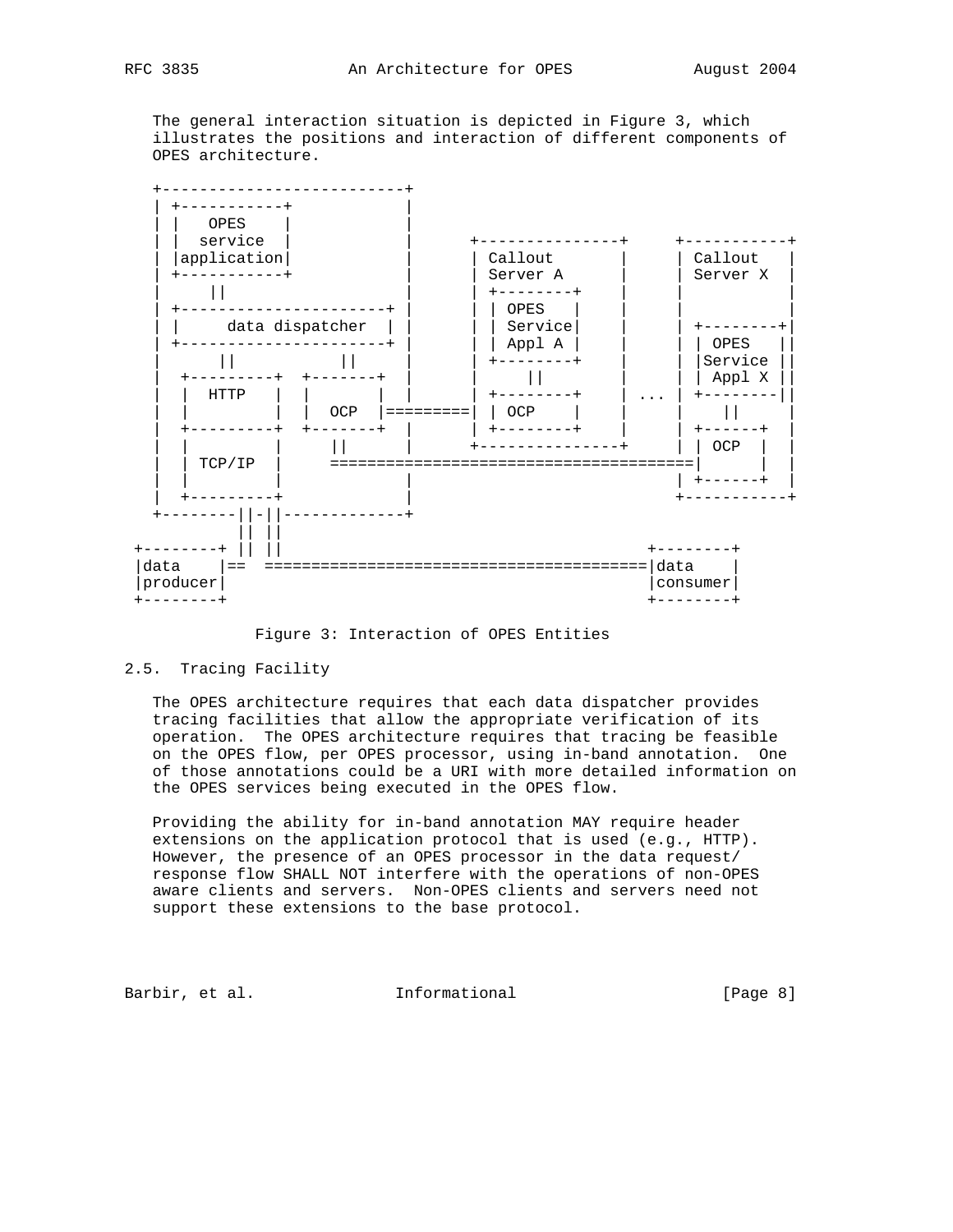The general interaction situation is depicted in Figure 3, which illustrates the positions and interaction of different components of OPES architecture.



Figure 3: Interaction of OPES Entities

# 2.5. Tracing Facility

 The OPES architecture requires that each data dispatcher provides tracing facilities that allow the appropriate verification of its operation. The OPES architecture requires that tracing be feasible on the OPES flow, per OPES processor, using in-band annotation. One of those annotations could be a URI with more detailed information on the OPES services being executed in the OPES flow.

 Providing the ability for in-band annotation MAY require header extensions on the application protocol that is used (e.g., HTTP). However, the presence of an OPES processor in the data request/ response flow SHALL NOT interfere with the operations of non-OPES aware clients and servers. Non-OPES clients and servers need not support these extensions to the base protocol.

Barbir, et al. 1nformational 1999 [Page 8]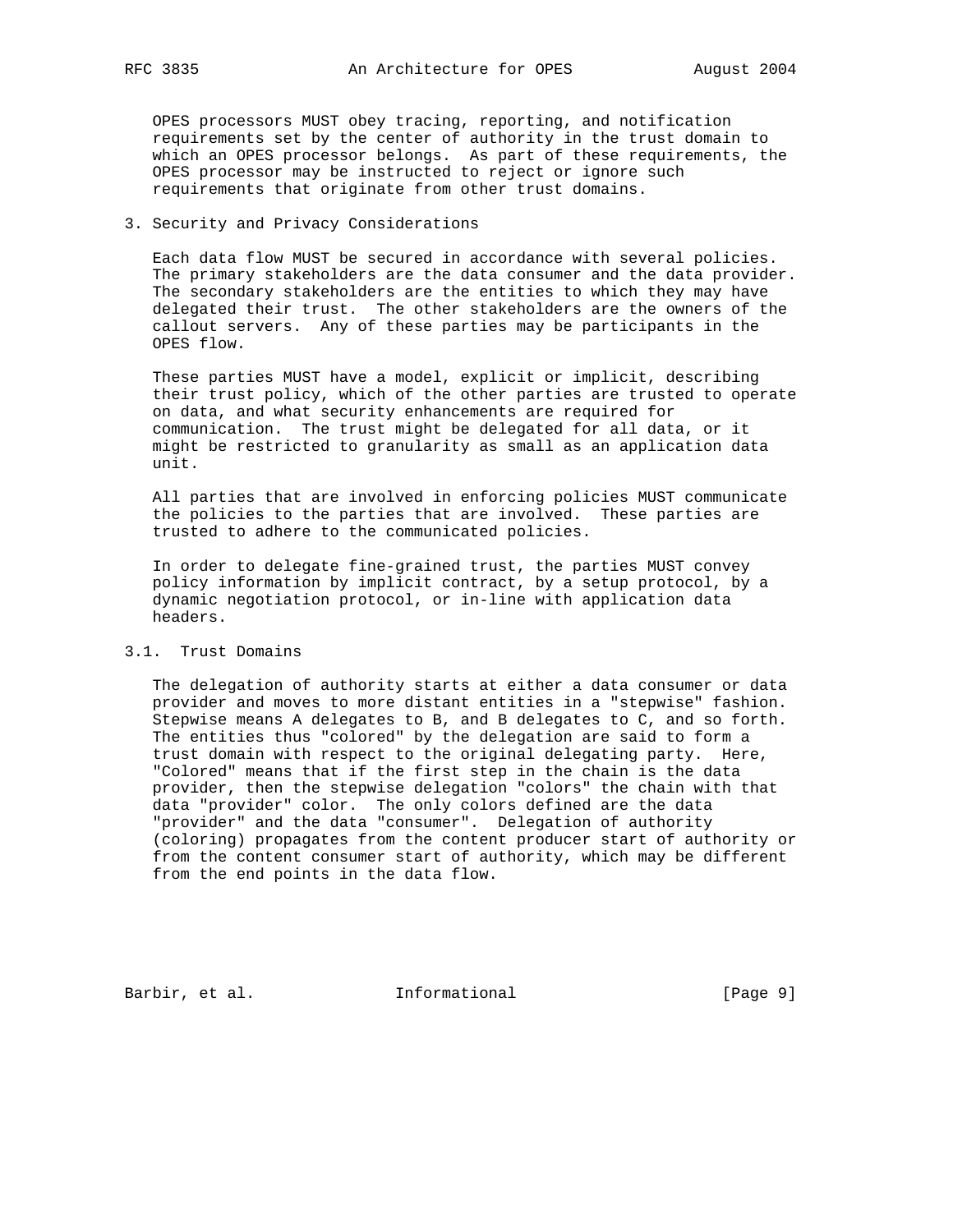OPES processors MUST obey tracing, reporting, and notification requirements set by the center of authority in the trust domain to which an OPES processor belongs. As part of these requirements, the OPES processor may be instructed to reject or ignore such requirements that originate from other trust domains.

# 3. Security and Privacy Considerations

 Each data flow MUST be secured in accordance with several policies. The primary stakeholders are the data consumer and the data provider. The secondary stakeholders are the entities to which they may have delegated their trust. The other stakeholders are the owners of the callout servers. Any of these parties may be participants in the OPES flow.

 These parties MUST have a model, explicit or implicit, describing their trust policy, which of the other parties are trusted to operate on data, and what security enhancements are required for communication. The trust might be delegated for all data, or it might be restricted to granularity as small as an application data unit.

 All parties that are involved in enforcing policies MUST communicate the policies to the parties that are involved. These parties are trusted to adhere to the communicated policies.

 In order to delegate fine-grained trust, the parties MUST convey policy information by implicit contract, by a setup protocol, by a dynamic negotiation protocol, or in-line with application data headers.

# 3.1. Trust Domains

 The delegation of authority starts at either a data consumer or data provider and moves to more distant entities in a "stepwise" fashion. Stepwise means A delegates to B, and B delegates to C, and so forth. The entities thus "colored" by the delegation are said to form a trust domain with respect to the original delegating party. Here, "Colored" means that if the first step in the chain is the data provider, then the stepwise delegation "colors" the chain with that data "provider" color. The only colors defined are the data "provider" and the data "consumer". Delegation of authority (coloring) propagates from the content producer start of authority or from the content consumer start of authority, which may be different from the end points in the data flow.

Barbir, et al. 1nformational [Page 9]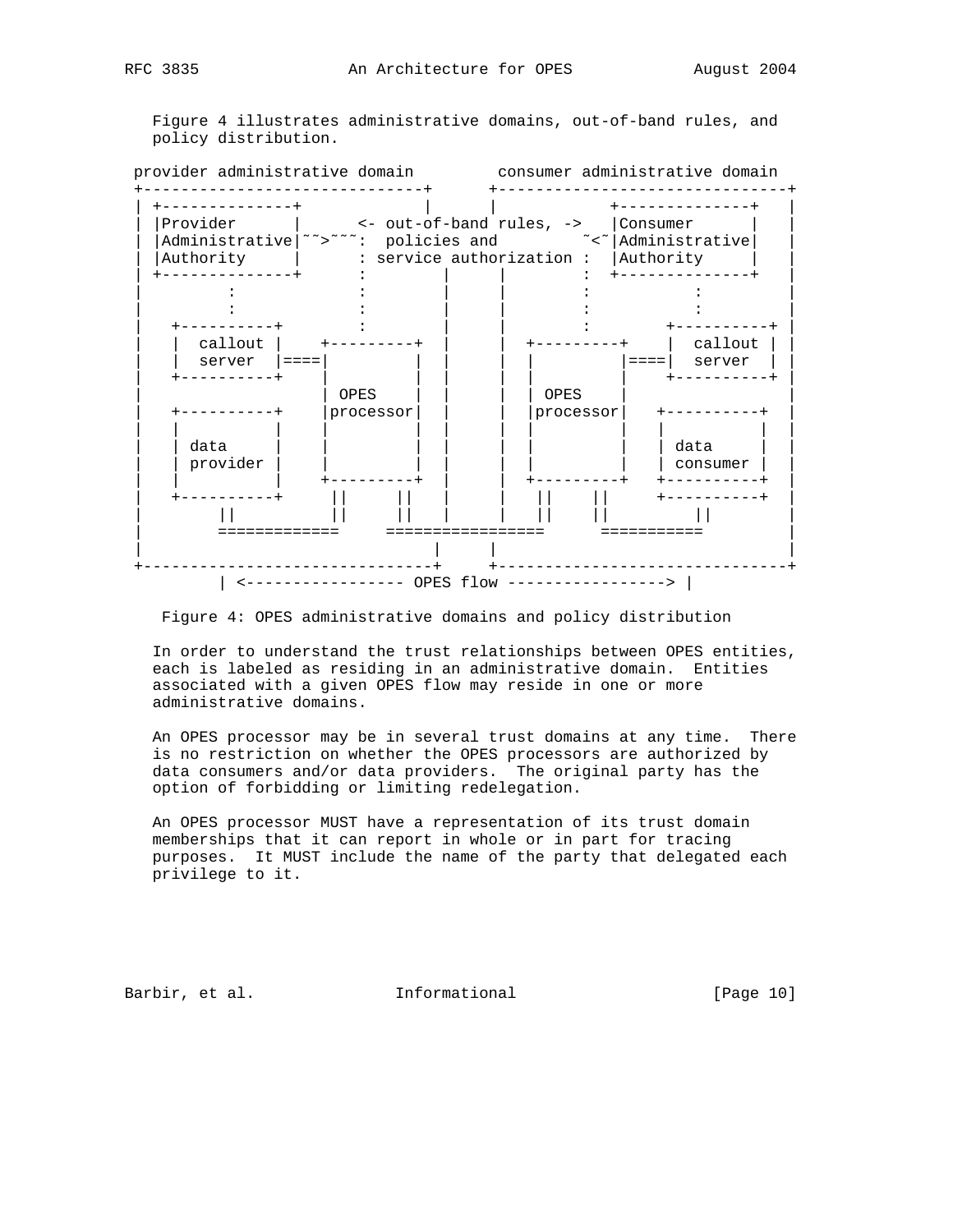Figure 4 illustrates administrative domains, out-of-band rules, and policy distribution.

| Provider         | <- out-of-band rules, ->   Consumer |                                       |                |
|------------------|-------------------------------------|---------------------------------------|----------------|
|                  |                                     |                                       |                |
| Authority        |                                     | : service authorization :   Authority |                |
|                  |                                     |                                       |                |
|                  |                                     |                                       |                |
|                  |                                     |                                       |                |
| --------+        |                                     |                                       | ---------      |
| callout          |                                     |                                       | callout        |
| server<br>∣ ==== |                                     |                                       | server<br>==== |
|                  | OPES                                | OPES                                  |                |
|                  | processor                           | processor                             |                |
|                  |                                     |                                       |                |
| data             |                                     |                                       | data           |
| provider         |                                     |                                       | consumer       |
|                  |                                     |                                       |                |
| ------           |                                     |                                       | +----------+   |
|                  |                                     |                                       |                |
|                  |                                     |                                       |                |

Figure 4: OPES administrative domains and policy distribution

 In order to understand the trust relationships between OPES entities, each is labeled as residing in an administrative domain. Entities associated with a given OPES flow may reside in one or more administrative domains.

 An OPES processor may be in several trust domains at any time. There is no restriction on whether the OPES processors are authorized by data consumers and/or data providers. The original party has the option of forbidding or limiting redelegation.

 An OPES processor MUST have a representation of its trust domain memberships that it can report in whole or in part for tracing purposes. It MUST include the name of the party that delegated each privilege to it.

Barbir, et al. 1nformational [Page 10]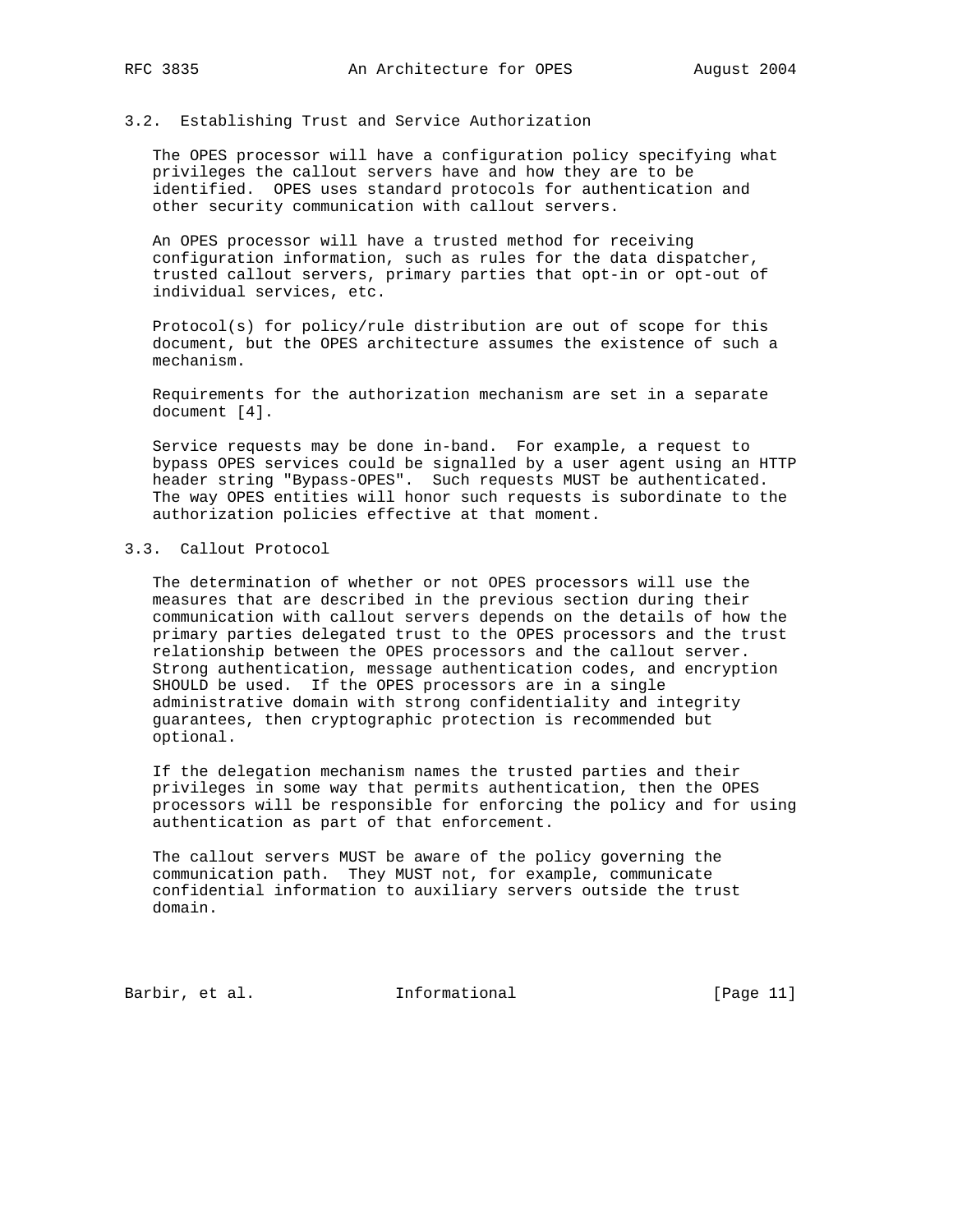# 3.2. Establishing Trust and Service Authorization

 The OPES processor will have a configuration policy specifying what privileges the callout servers have and how they are to be identified. OPES uses standard protocols for authentication and other security communication with callout servers.

 An OPES processor will have a trusted method for receiving configuration information, such as rules for the data dispatcher, trusted callout servers, primary parties that opt-in or opt-out of individual services, etc.

 Protocol(s) for policy/rule distribution are out of scope for this document, but the OPES architecture assumes the existence of such a mechanism.

 Requirements for the authorization mechanism are set in a separate document [4].

 Service requests may be done in-band. For example, a request to bypass OPES services could be signalled by a user agent using an HTTP header string "Bypass-OPES". Such requests MUST be authenticated. The way OPES entities will honor such requests is subordinate to the authorization policies effective at that moment.

#### 3.3. Callout Protocol

 The determination of whether or not OPES processors will use the measures that are described in the previous section during their communication with callout servers depends on the details of how the primary parties delegated trust to the OPES processors and the trust relationship between the OPES processors and the callout server. Strong authentication, message authentication codes, and encryption SHOULD be used. If the OPES processors are in a single administrative domain with strong confidentiality and integrity guarantees, then cryptographic protection is recommended but optional.

 If the delegation mechanism names the trusted parties and their privileges in some way that permits authentication, then the OPES processors will be responsible for enforcing the policy and for using authentication as part of that enforcement.

 The callout servers MUST be aware of the policy governing the communication path. They MUST not, for example, communicate confidential information to auxiliary servers outside the trust domain.

Barbir, et al. 1nformational [Page 11]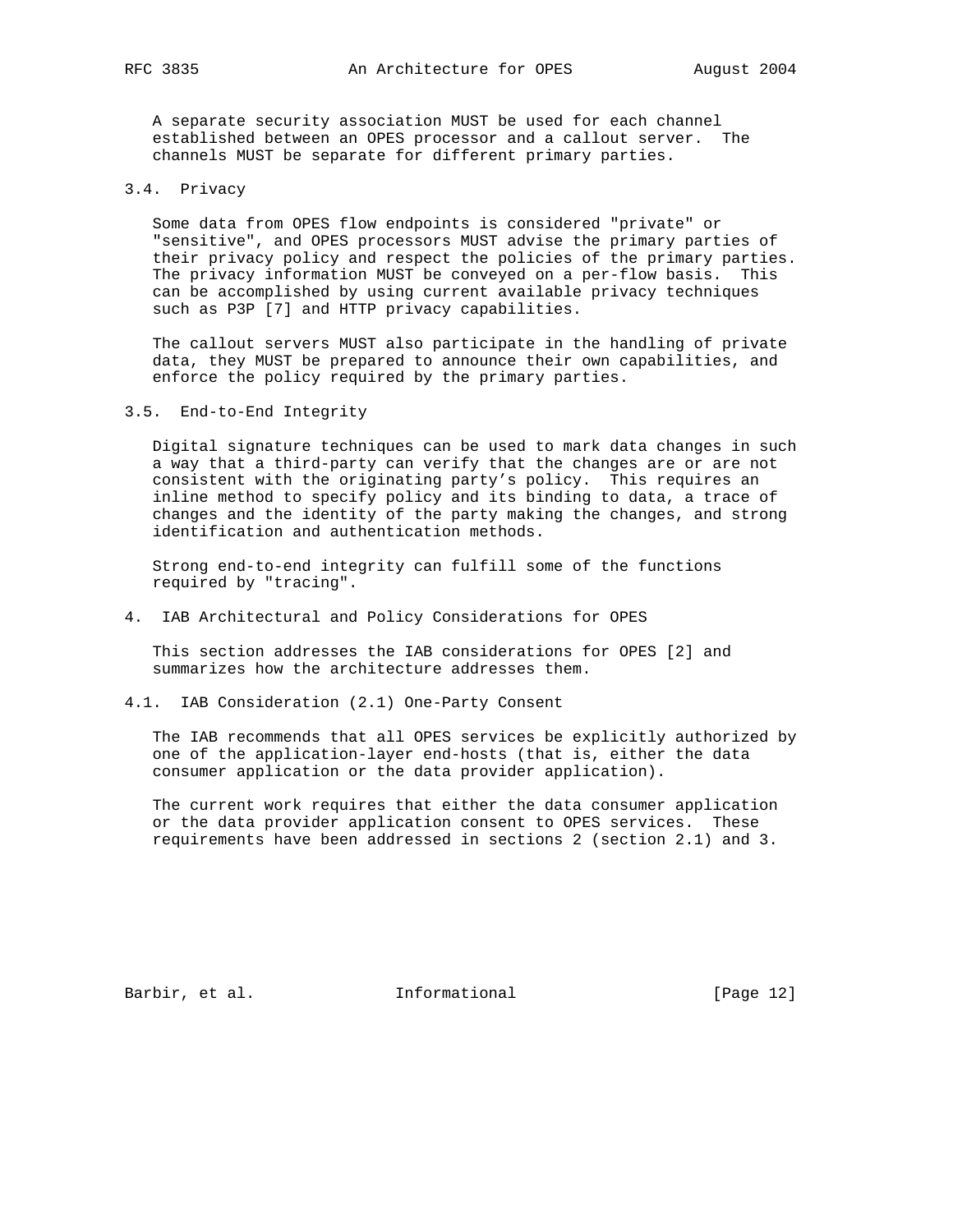A separate security association MUST be used for each channel established between an OPES processor and a callout server. The channels MUST be separate for different primary parties.

#### 3.4. Privacy

 Some data from OPES flow endpoints is considered "private" or "sensitive", and OPES processors MUST advise the primary parties of their privacy policy and respect the policies of the primary parties. The privacy information MUST be conveyed on a per-flow basis. This can be accomplished by using current available privacy techniques such as P3P [7] and HTTP privacy capabilities.

 The callout servers MUST also participate in the handling of private data, they MUST be prepared to announce their own capabilities, and enforce the policy required by the primary parties.

## 3.5. End-to-End Integrity

 Digital signature techniques can be used to mark data changes in such a way that a third-party can verify that the changes are or are not consistent with the originating party's policy. This requires an inline method to specify policy and its binding to data, a trace of changes and the identity of the party making the changes, and strong identification and authentication methods.

 Strong end-to-end integrity can fulfill some of the functions required by "tracing".

4. IAB Architectural and Policy Considerations for OPES

 This section addresses the IAB considerations for OPES [2] and summarizes how the architecture addresses them.

4.1. IAB Consideration (2.1) One-Party Consent

 The IAB recommends that all OPES services be explicitly authorized by one of the application-layer end-hosts (that is, either the data consumer application or the data provider application).

 The current work requires that either the data consumer application or the data provider application consent to OPES services. These requirements have been addressed in sections 2 (section 2.1) and 3.

Barbir, et al. 1nformational [Page 12]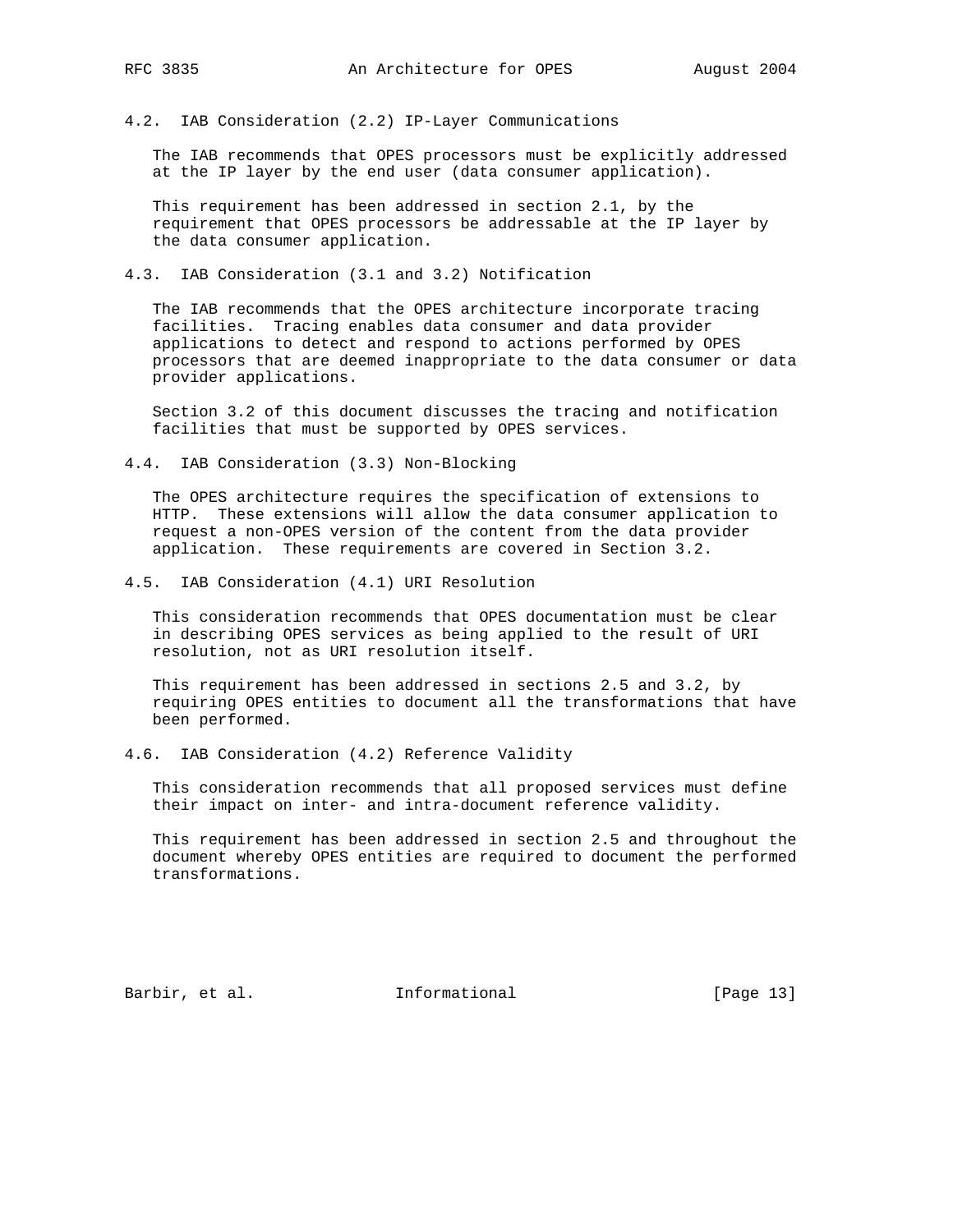4.2. IAB Consideration (2.2) IP-Layer Communications

 The IAB recommends that OPES processors must be explicitly addressed at the IP layer by the end user (data consumer application).

 This requirement has been addressed in section 2.1, by the requirement that OPES processors be addressable at the IP layer by the data consumer application.

4.3. IAB Consideration (3.1 and 3.2) Notification

 The IAB recommends that the OPES architecture incorporate tracing facilities. Tracing enables data consumer and data provider applications to detect and respond to actions performed by OPES processors that are deemed inappropriate to the data consumer or data provider applications.

 Section 3.2 of this document discusses the tracing and notification facilities that must be supported by OPES services.

4.4. IAB Consideration (3.3) Non-Blocking

 The OPES architecture requires the specification of extensions to HTTP. These extensions will allow the data consumer application to request a non-OPES version of the content from the data provider application. These requirements are covered in Section 3.2.

4.5. IAB Consideration (4.1) URI Resolution

 This consideration recommends that OPES documentation must be clear in describing OPES services as being applied to the result of URI resolution, not as URI resolution itself.

 This requirement has been addressed in sections 2.5 and 3.2, by requiring OPES entities to document all the transformations that have been performed.

4.6. IAB Consideration (4.2) Reference Validity

 This consideration recommends that all proposed services must define their impact on inter- and intra-document reference validity.

 This requirement has been addressed in section 2.5 and throughout the document whereby OPES entities are required to document the performed transformations.

Barbir, et al. 1nformational [Page 13]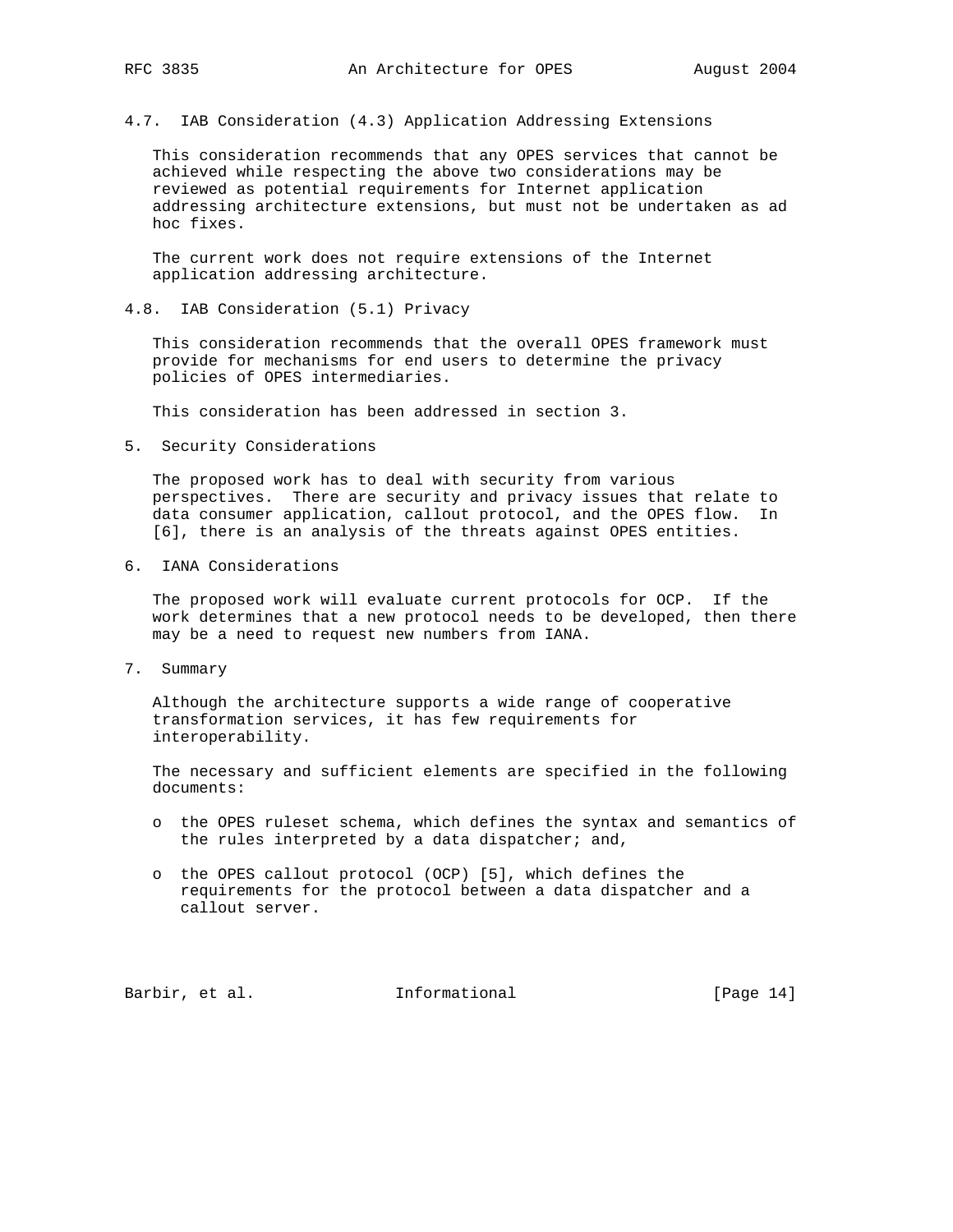4.7. IAB Consideration (4.3) Application Addressing Extensions

 This consideration recommends that any OPES services that cannot be achieved while respecting the above two considerations may be reviewed as potential requirements for Internet application addressing architecture extensions, but must not be undertaken as ad hoc fixes.

 The current work does not require extensions of the Internet application addressing architecture.

4.8. IAB Consideration (5.1) Privacy

 This consideration recommends that the overall OPES framework must provide for mechanisms for end users to determine the privacy policies of OPES intermediaries.

This consideration has been addressed in section 3.

5. Security Considerations

 The proposed work has to deal with security from various perspectives. There are security and privacy issues that relate to data consumer application, callout protocol, and the OPES flow. In [6], there is an analysis of the threats against OPES entities.

6. IANA Considerations

 The proposed work will evaluate current protocols for OCP. If the work determines that a new protocol needs to be developed, then there may be a need to request new numbers from IANA.

7. Summary

 Although the architecture supports a wide range of cooperative transformation services, it has few requirements for interoperability.

 The necessary and sufficient elements are specified in the following documents:

- o the OPES ruleset schema, which defines the syntax and semantics of the rules interpreted by a data dispatcher; and,
- o the OPES callout protocol (OCP) [5], which defines the requirements for the protocol between a data dispatcher and a callout server.

Barbir, et al. 1nformational [Page 14]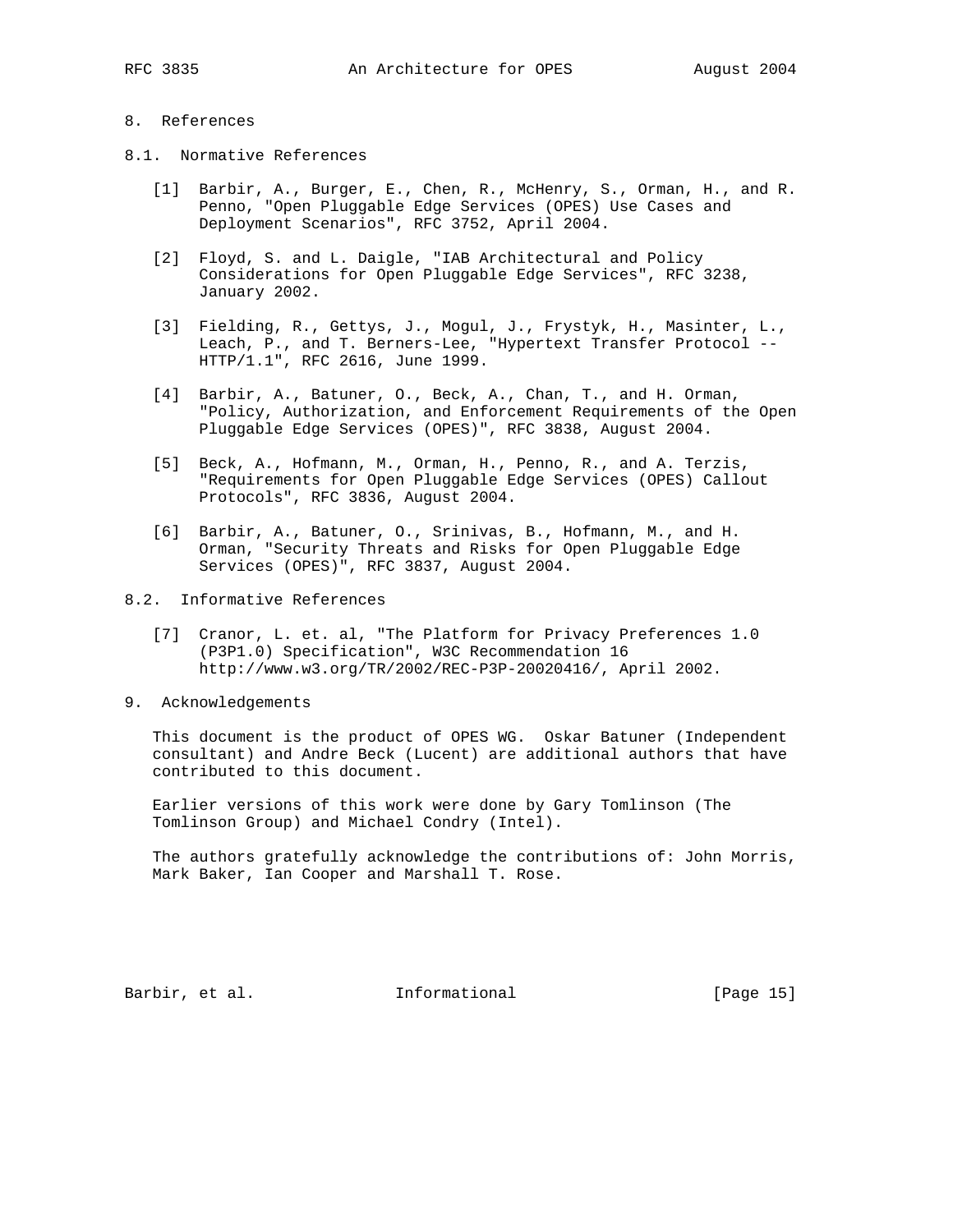# 8. References

- 8.1. Normative References
	- [1] Barbir, A., Burger, E., Chen, R., McHenry, S., Orman, H., and R. Penno, "Open Pluggable Edge Services (OPES) Use Cases and Deployment Scenarios", RFC 3752, April 2004.
	- [2] Floyd, S. and L. Daigle, "IAB Architectural and Policy Considerations for Open Pluggable Edge Services", RFC 3238, January 2002.
	- [3] Fielding, R., Gettys, J., Mogul, J., Frystyk, H., Masinter, L., Leach, P., and T. Berners-Lee, "Hypertext Transfer Protocol -- HTTP/1.1", RFC 2616, June 1999.
	- [4] Barbir, A., Batuner, O., Beck, A., Chan, T., and H. Orman, "Policy, Authorization, and Enforcement Requirements of the Open Pluggable Edge Services (OPES)", RFC 3838, August 2004.
	- [5] Beck, A., Hofmann, M., Orman, H., Penno, R., and A. Terzis, "Requirements for Open Pluggable Edge Services (OPES) Callout Protocols", RFC 3836, August 2004.
	- [6] Barbir, A., Batuner, O., Srinivas, B., Hofmann, M., and H. Orman, "Security Threats and Risks for Open Pluggable Edge Services (OPES)", RFC 3837, August 2004.
- 8.2. Informative References
	- [7] Cranor, L. et. al, "The Platform for Privacy Preferences 1.0 (P3P1.0) Specification", W3C Recommendation 16 http://www.w3.org/TR/2002/REC-P3P-20020416/, April 2002.
- 9. Acknowledgements

 This document is the product of OPES WG. Oskar Batuner (Independent consultant) and Andre Beck (Lucent) are additional authors that have contributed to this document.

 Earlier versions of this work were done by Gary Tomlinson (The Tomlinson Group) and Michael Condry (Intel).

 The authors gratefully acknowledge the contributions of: John Morris, Mark Baker, Ian Cooper and Marshall T. Rose.

Barbir, et al. Informational [Page 15]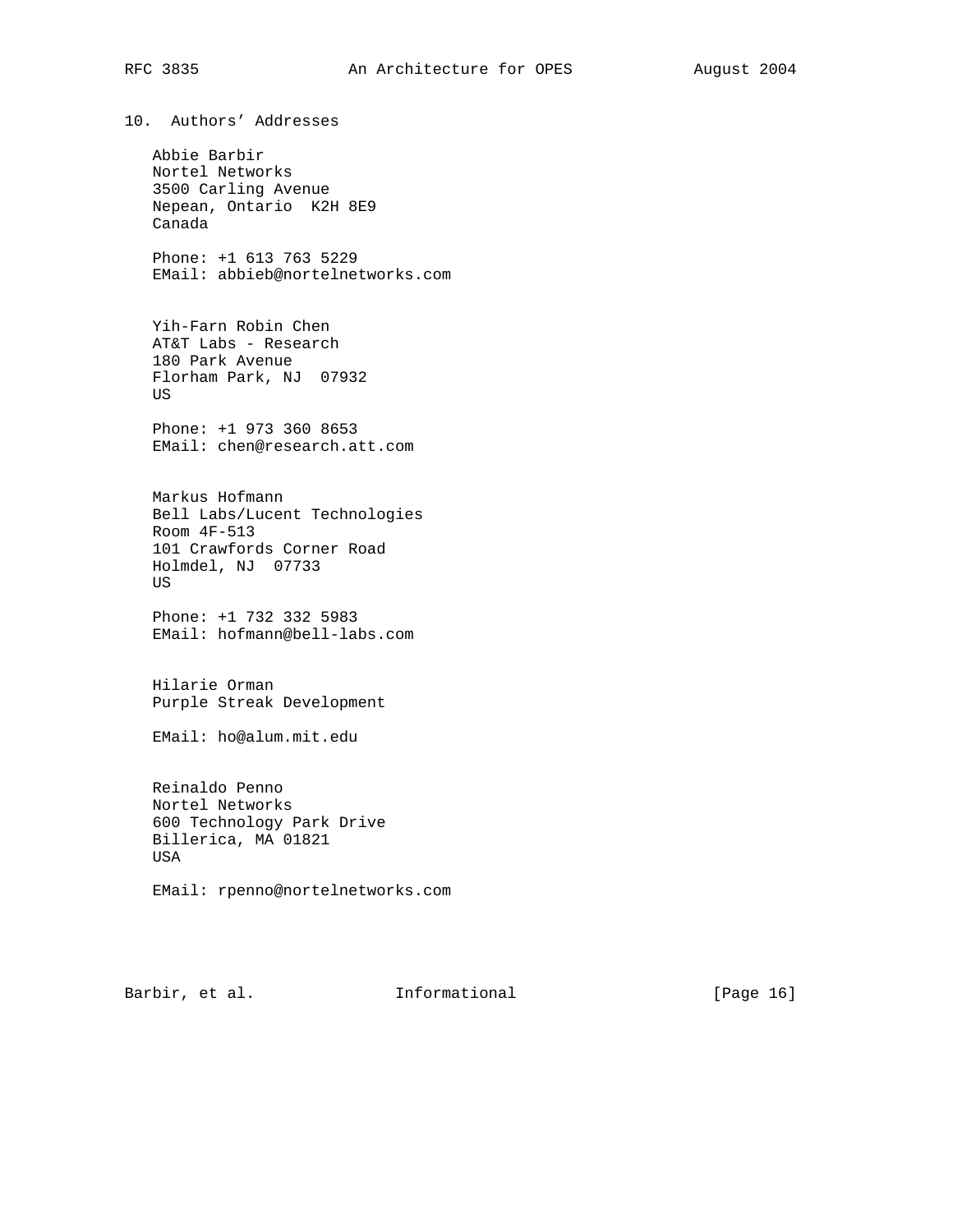# RFC 3835 An Architecture for OPES August 2004

10. Authors' Addresses

 Abbie Barbir Nortel Networks 3500 Carling Avenue Nepean, Ontario K2H 8E9 Canada

 Phone: +1 613 763 5229 EMail: abbieb@nortelnetworks.com

 Yih-Farn Robin Chen AT&T Labs - Research 180 Park Avenue Florham Park, NJ 07932 US

 Phone: +1 973 360 8653 EMail: chen@research.att.com

 Markus Hofmann Bell Labs/Lucent Technologies Room 4F-513 101 Crawfords Corner Road Holmdel, NJ 07733 US

 Phone: +1 732 332 5983 EMail: hofmann@bell-labs.com

 Hilarie Orman Purple Streak Development

EMail: ho@alum.mit.edu

 Reinaldo Penno Nortel Networks 600 Technology Park Drive Billerica, MA 01821 USA

EMail: rpenno@nortelnetworks.com

Barbir, et al. 1nformational [Page 16]